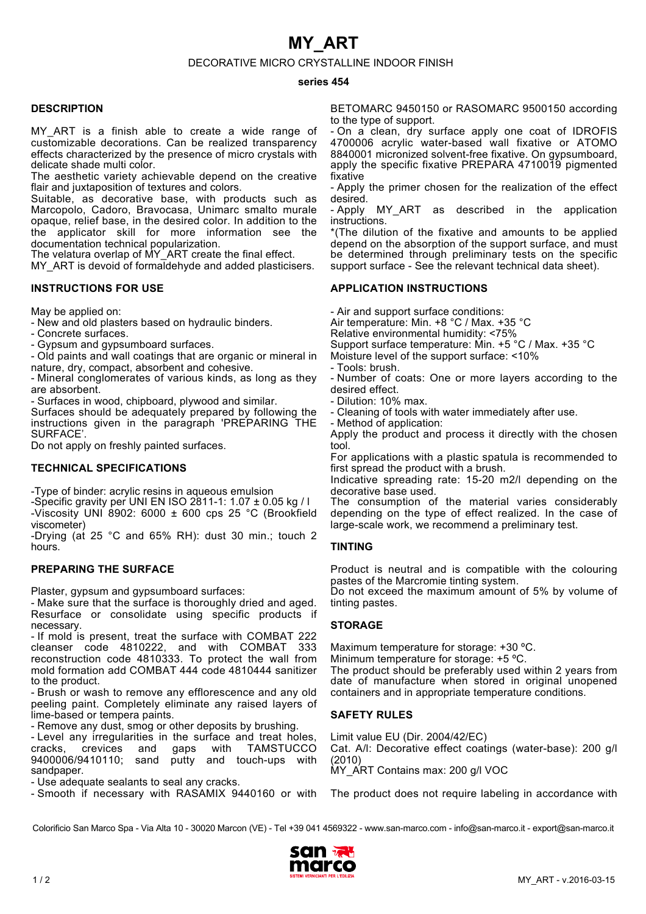# **MY\_ART**

### DECORATIVE MICRO CRYSTALLINE INDOOR FINISH

#### **series 454**

### **DESCRIPTION**

MY ART is a finish able to create a wide range of customizable decorations. Can be realized transparency effects characterized by the presence of micro crystals with delicate shade multi color.

The aesthetic variety achievable depend on the creative flair and juxtaposition of textures and colors.

Suitable, as decorative base, with products such as Marcopolo, Cadoro, Bravocasa, Unimarc smalto murale opaque, relief base, in the desired color. In addition to the the applicator skill for more information see the documentation technical popularization.

The velatura overlap of MY\_ART create the final effect.

MY ART is devoid of formaldehyde and added plasticisers.

## **INSTRUCTIONS FOR USE**

May be applied on:

- New and old plasters based on hydraulic binders.

- Concrete surfaces.

- Gypsum and gypsumboard surfaces.

- Old paints and wall coatings that are organic or mineral in nature, dry, compact, absorbent and cohesive.

- Mineral conglomerates of various kinds, as long as they are absorbent.

- Surfaces in wood, chipboard, plywood and similar.

Surfaces should be adequately prepared by following the instructions given in the paragraph 'PREPARING THE SURFACE'.

Do not apply on freshly painted surfaces.

## **TECHNICAL SPECIFICATIONS**

-Type of binder: acrylic resins in aqueous emulsion

-Specific gravity per UNI EN ISO 2811-1: 1.07 ± 0.05 kg / l -Viscosity UNI 8902: 6000  $\pm$  600 cps 25 °C (Brookfield viscometer)

-Drying (at 25 °C and 65% RH): dust 30 min.; touch 2 hours.

## **PREPARING THE SURFACE**

Plaster, gypsum and gypsumboard surfaces:

- Make sure that the surface is thoroughly dried and aged. Resurface or consolidate using specific products if necessary.

- If mold is present, treat the surface with COMBAT 222 cleanser code 4810222, and with COMBAT 333  $cleanser code 4810222, and with COMBAT$ reconstruction code 4810333. To protect the wall from mold formation add COMBAT 444 code 4810444 sanitizer to the product.

- Brush or wash to remove any efflorescence and any old peeling paint. Completely eliminate any raised layers of lime-based or tempera paints.

- Remove any dust, smog or other deposits by brushing.

- Level any irregularities in the surface and treat holes,<br>cracks. crevices and gaps with TAMSTUCCO cracks, crevices and gaps with TAMSTUCCO  $9400006/9410110$ ; sand sandpaper.

- Use adequate sealants to seal any cracks.

- Smooth if necessary with RASAMIX 9440160 or with

BETOMARC 9450150 or RASOMARC 9500150 according to the type of support.

- On a clean, dry surface apply one coat of IDROFIS 4700006 acrylic water-based wall fixative or ATOMO 8840001 micronized solvent-free fixative. On gypsumboard, apply the specific fixative PREPARA 4710019 pigmented fixative

- Apply the primer chosen for the realization of the effect desired.

- Apply MY ART as described in the application instructions.

\*(The dilution of the fixative and amounts to be applied depend on the absorption of the support surface, and must be determined through preliminary tests on the specific support surface - See the relevant technical data sheet).

## **APPLICATION INSTRUCTIONS**

- Air and support surface conditions:

Air temperature: Min. +8 °C / Max. +35 °C

Relative environmental humidity: <75%

Support surface temperature: Min. +5 °C / Max. +35 °C

Moisture level of the support surface: <10%

- Tools: brush.

- Number of coats: One or more layers according to the desired effect.

- Dilution: 10% max.

- Cleaning of tools with water immediately after use.

- Method of application:

Apply the product and process it directly with the chosen tool.

For applications with a plastic spatula is recommended to first spread the product with a brush.

Indicative spreading rate: 15-20 m2/l depending on the decorative base used.

The consumption of the material varies considerably depending on the type of effect realized. In the case of large-scale work, we recommend a preliminary test.

## **TINTING**

Product is neutral and is compatible with the colouring pastes of the Marcromie tinting system.

Do not exceed the maximum amount of 5% by volume of tinting pastes.

# **STORAGE**

Maximum temperature for storage: +30 ºC. Minimum temperature for storage: +5 ºC.

The product should be preferably used within 2 years from date of manufacture when stored in original unopened containers and in appropriate temperature conditions.

# **SAFETY RULES**

Limit value EU (Dir. 2004/42/EC) Cat. A/l: Decorative effect coatings (water-base): 200 g/l (2010) MY\_ART Contains max: 200 g/l VOC

The product does not require labeling in accordance with